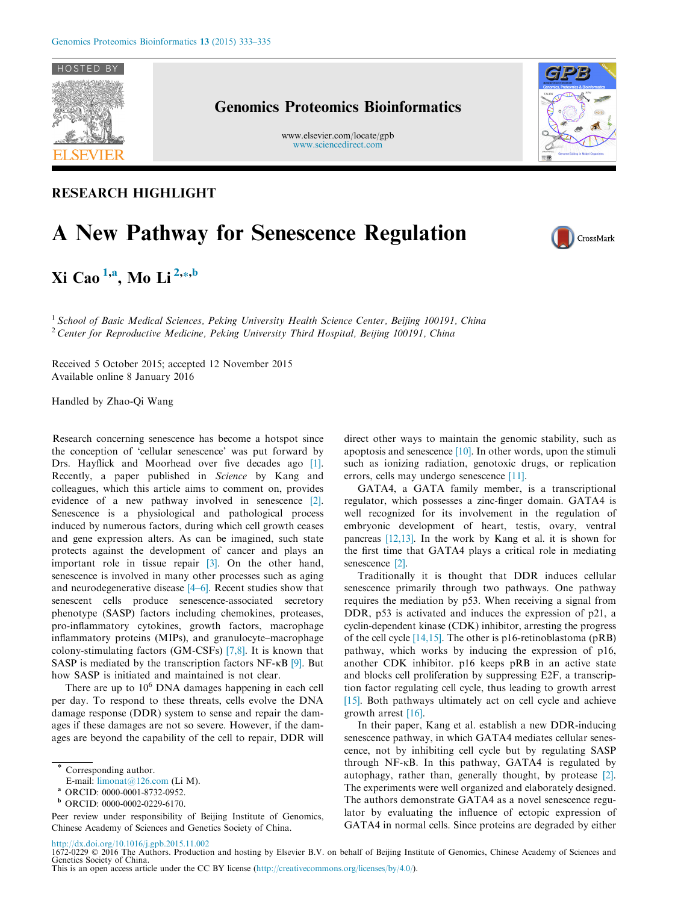

## Genomics Proteomics Bioinformatics

www.elsevier.com/locate/gpb [www.sciencedirect.com](http://www.sciencedirect.com)



# A New Pathway for Senescence Regulation

Xi Cao <sup>1,a</sup>, Mo Li <sup>2,\*,b</sup>

<sup>1</sup> School of Basic Medical Sciences, Peking University Health Science Center, Beijing 100191, China <sup>2</sup> Center for Reproductive Medicine, Peking University Third Hospital, Beijing 100191, China

Received 5 October 2015; accepted 12 November 2015 Available online 8 January 2016

Handled by Zhao-Qi Wang

Research concerning senescence has become a hotspot since the conception of 'cellular senescence' was put forward by Drs. Hayflick and Moorhead over five decades ago [\[1\]](#page-1-0). Recently, a paper published in Science by Kang and colleagues, which this article aims to comment on, provides evidence of a new pathway involved in senescence [\[2\]](#page-1-0). Senescence is a physiological and pathological process induced by numerous factors, during which cell growth ceases and gene expression alters. As can be imagined, such state protects against the development of cancer and plays an important role in tissue repair [\[3\].](#page-1-0) On the other hand, senescence is involved in many other processes such as aging and neurodegenerative disease [\[4–6\]](#page-1-0). Recent studies show that senescent cells produce senescence-associated secretory phenotype (SASP) factors including chemokines, proteases, pro-inflammatory cytokines, growth factors, macrophage inflammatory proteins (MIPs), and granulocyte–macrophage colony-stimulating factors (GM-CSFs) [\[7,8\]](#page-1-0). It is known that SASP is mediated by the transcription factors NF- $\kappa$ B [\[9\]](#page-1-0). But how SASP is initiated and maintained is not clear.

There are up to  $10<sup>6</sup>$  DNA damages happening in each cell per day. To respond to these threats, cells evolve the DNA damage response (DDR) system to sense and repair the damages if these damages are not so severe. However, if the damages are beyond the capability of the cell to repair, DDR will

Peer review under responsibility of Beijing Institute of Genomics, Chinese Academy of Sciences and Genetics Society of China.

direct other ways to maintain the genomic stability, such as apoptosis and senescence [\[10\]](#page-1-0). In other words, upon the stimuli such as ionizing radiation, genotoxic drugs, or replication errors, cells may undergo senescence [\[11\].](#page-1-0)

GATA4, a GATA family member, is a transcriptional regulator, which possesses a zinc-finger domain. GATA4 is well recognized for its involvement in the regulation of embryonic development of heart, testis, ovary, ventral pancreas [\[12,13\]](#page-1-0). In the work by Kang et al. it is shown for the first time that GATA4 plays a critical role in mediating senescence [\[2\]](#page-1-0).

Traditionally it is thought that DDR induces cellular senescence primarily through two pathways. One pathway requires the mediation by p53. When receiving a signal from DDR, p53 is activated and induces the expression of p21, a cyclin-dependent kinase (CDK) inhibitor, arresting the progress of the cell cycle [\[14,15\]](#page-1-0). The other is p16-retinoblastoma (pRB) pathway, which works by inducing the expression of p16, another CDK inhibitor. p16 keeps pRB in an active state and blocks cell proliferation by suppressing E2F, a transcription factor regulating cell cycle, thus leading to growth arrest [\[15\]](#page-1-0). Both pathways ultimately act on cell cycle and achieve growth arrest [\[16\]](#page-2-0).

In their paper, Kang et al. establish a new DDR-inducing senescence pathway, in which GATA4 mediates cellular senescence, not by inhibiting cell cycle but by regulating SASP through NF- $\kappa$ B. In this pathway, GATA4 is regulated by autophagy, rather than, generally thought, by protease [\[2\]](#page-1-0). The experiments were well organized and elaborately designed. The authors demonstrate GATA4 as a novel senescence regulator by evaluating the influence of ectopic expression of GATA4 in normal cells. Since proteins are degraded by either



<http://dx.doi.org/10.1016/j.gpb.2015.11.002>

1672-0229 © 2016 The Authors. Production and hosting by Elsevier B.V. on behalf of Beijing Institute of Genomics, Chinese Academy of Sciences and Genetics Society of China.

Corresponding author.

E-mail: [limonat@126.com](mailto:limonat@126.com) (Li M).

<sup>a</sup> ORCID: 0000-0001-8732-0952.

<sup>b</sup> ORCID: 0000-0002-0229-6170.

This is an open access article under the CC BY license [\(http://creativecommons.org/licenses/by/4.0/\)](http://creativecommons.org/licenses/by/4.0/).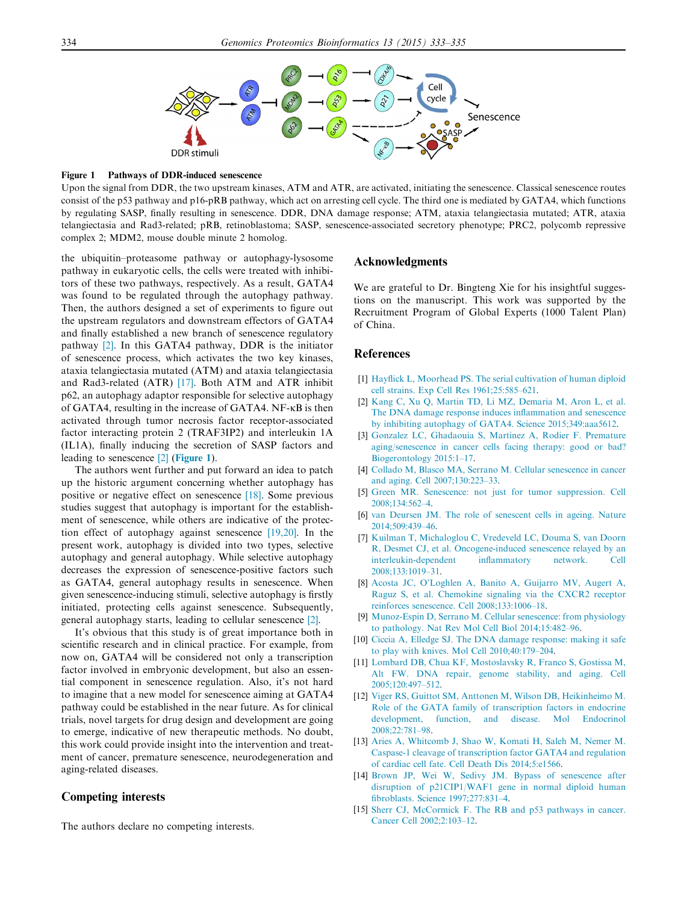<span id="page-1-0"></span>

Figure 1 Pathways of DDR-induced senescence

Upon the signal from DDR, the two upstream kinases, ATM and ATR, are activated, initiating the senescence. Classical senescence routes consist of the p53 pathway and p16-pRB pathway, which act on arresting cell cycle. The third one is mediated by GATA4, which functions by regulating SASP, finally resulting in senescence. DDR, DNA damage response; ATM, ataxia telangiectasia mutated; ATR, ataxia telangiectasia and Rad3-related; pRB, retinoblastoma; SASP, senescence-associated secretory phenotype; PRC2, polycomb repressive complex 2; MDM2, mouse double minute 2 homolog.

the ubiquitin–proteasome pathway or autophagy-lysosome pathway in eukaryotic cells, the cells were treated with inhibitors of these two pathways, respectively. As a result, GATA4 was found to be regulated through the autophagy pathway. Then, the authors designed a set of experiments to figure out the upstream regulators and downstream effectors of GATA4 and finally established a new branch of senescence regulatory pathway [2]. In this GATA4 pathway, DDR is the initiator of senescence process, which activates the two key kinases, ataxia telangiectasia mutated (ATM) and ataxia telangiectasia and Rad3-related (ATR) [\[17\]](#page-2-0). Both ATM and ATR inhibit p62, an autophagy adaptor responsible for selective autophagy of GATA4, resulting in the increase of GATA4. NF- $\kappa$ B is then activated through tumor necrosis factor receptor-associated factor interacting protein 2 (TRAF3IP2) and interleukin 1A (IL1A), finally inducing the secretion of SASP factors and leading to senescence [2] (Figure 1).

The authors went further and put forward an idea to patch up the historic argument concerning whether autophagy has positive or negative effect on senescence [\[18\].](#page-2-0) Some previous studies suggest that autophagy is important for the establishment of senescence, while others are indicative of the protection effect of autophagy against senescence [\[19,20\]](#page-2-0). In the present work, autophagy is divided into two types, selective autophagy and general autophagy. While selective autophagy decreases the expression of senescence-positive factors such as GATA4, general autophagy results in senescence. When given senescence-inducing stimuli, selective autophagy is firstly initiated, protecting cells against senescence. Subsequently, general autophagy starts, leading to cellular senescence [2].

It's obvious that this study is of great importance both in scientific research and in clinical practice. For example, from now on, GATA4 will be considered not only a transcription factor involved in embryonic development, but also an essential component in senescence regulation. Also, it's not hard to imagine that a new model for senescence aiming at GATA4 pathway could be established in the near future. As for clinical trials, novel targets for drug design and development are going to emerge, indicative of new therapeutic methods. No doubt, this work could provide insight into the intervention and treatment of cancer, premature senescence, neurodegeneration and aging-related diseases.

### Competing interests

The authors declare no competing interests.

#### Acknowledgments

We are grateful to Dr. Bingteng Xie for his insightful suggestions on the manuscript. This work was supported by the Recruitment Program of Global Experts (1000 Talent Plan) of China.

#### **References**

- [1] [Hayflick L, Moorhead PS. The serial cultivation of human diploid](http://refhub.elsevier.com/S1672-0229(15)00171-0/h0005) [cell strains. Exp Cell Res 1961;25:585–621](http://refhub.elsevier.com/S1672-0229(15)00171-0/h0005).
- [2] [Kang C, Xu Q, Martin TD, Li MZ, Demaria M, Aron L, et al.](http://refhub.elsevier.com/S1672-0229(15)00171-0/h0010) [The DNA damage response induces inflammation and senescence](http://refhub.elsevier.com/S1672-0229(15)00171-0/h0010) [by inhibiting autophagy of GATA4. Science 2015;349:aaa5612.](http://refhub.elsevier.com/S1672-0229(15)00171-0/h0010)
- [3] [Gonzalez LC, Ghadaouia S, Martinez A, Rodier F. Premature](http://refhub.elsevier.com/S1672-0229(15)00171-0/h0015) [aging/senescence in cancer cells facing therapy: good or bad?](http://refhub.elsevier.com/S1672-0229(15)00171-0/h0015) [Biogerontology 2015:1–17.](http://refhub.elsevier.com/S1672-0229(15)00171-0/h0015)
- [4] [Collado M, Blasco MA, Serrano M. Cellular senescence in cancer](http://refhub.elsevier.com/S1672-0229(15)00171-0/h0020) [and aging. Cell 2007;130:223–33](http://refhub.elsevier.com/S1672-0229(15)00171-0/h0020).
- [5] [Green MR. Senescence: not just for tumor suppression. Cell](http://refhub.elsevier.com/S1672-0229(15)00171-0/h0025)  $2008:134:562-4$
- [6] [van Deursen JM. The role of senescent cells in ageing. Nature](http://refhub.elsevier.com/S1672-0229(15)00171-0/h0030) [2014;509:439–46](http://refhub.elsevier.com/S1672-0229(15)00171-0/h0030).
- [7] [Kuilman T, Michaloglou C, Vredeveld LC, Douma S, van Doorn](http://refhub.elsevier.com/S1672-0229(15)00171-0/h0035) [R, Desmet CJ, et al. Oncogene-induced senescence relayed by an](http://refhub.elsevier.com/S1672-0229(15)00171-0/h0035) [interleukin-dependent inflammatory network. Cell](http://refhub.elsevier.com/S1672-0229(15)00171-0/h0035) [2008;133:1019–31](http://refhub.elsevier.com/S1672-0229(15)00171-0/h0035).
- [8] [Acosta JC, O'Loghlen A, Banito A, Guijarro MV, Augert A,](http://refhub.elsevier.com/S1672-0229(15)00171-0/h0040) [Raguz S, et al. Chemokine signaling via the CXCR2 receptor](http://refhub.elsevier.com/S1672-0229(15)00171-0/h0040) [reinforces senescence. Cell 2008;133:1006–18.](http://refhub.elsevier.com/S1672-0229(15)00171-0/h0040)
- [9] [Munoz-Espin D, Serrano M. Cellular senescence: from physiology](http://refhub.elsevier.com/S1672-0229(15)00171-0/h0045) [to pathology. Nat Rev Mol Cell Biol 2014;15:482–96](http://refhub.elsevier.com/S1672-0229(15)00171-0/h0045).
- [10] [Ciccia A, Elledge SJ. The DNA damage response: making it safe](http://refhub.elsevier.com/S1672-0229(15)00171-0/h0050) [to play with knives. Mol Cell 2010;40:179–204](http://refhub.elsevier.com/S1672-0229(15)00171-0/h0050).
- [11] [Lombard DB, Chua KF, Mostoslavsky R, Franco S, Gostissa M,](http://refhub.elsevier.com/S1672-0229(15)00171-0/h0055) [Alt FW. DNA repair, genome stability, and aging. Cell](http://refhub.elsevier.com/S1672-0229(15)00171-0/h0055) [2005;120:497–512](http://refhub.elsevier.com/S1672-0229(15)00171-0/h0055).
- [12] [Viger RS, Guittot SM, Anttonen M, Wilson DB, Heikinheimo M.](http://refhub.elsevier.com/S1672-0229(15)00171-0/h0060) [Role of the GATA family of transcription factors in endocrine](http://refhub.elsevier.com/S1672-0229(15)00171-0/h0060) [development, function, and disease. Mol Endocrinol](http://refhub.elsevier.com/S1672-0229(15)00171-0/h0060) [2008;22:781–98](http://refhub.elsevier.com/S1672-0229(15)00171-0/h0060).
- [13] [Aries A, Whitcomb J, Shao W, Komati H, Saleh M, Nemer M.](http://refhub.elsevier.com/S1672-0229(15)00171-0/h0065) [Caspase-1 cleavage of transcription factor GATA4 and regulation](http://refhub.elsevier.com/S1672-0229(15)00171-0/h0065) [of cardiac cell fate. Cell Death Dis 2014;5:e1566.](http://refhub.elsevier.com/S1672-0229(15)00171-0/h0065)
- [14] [Brown JP, Wei W, Sedivy JM. Bypass of senescence after](http://refhub.elsevier.com/S1672-0229(15)00171-0/h0070) [disruption of p21CIP1/WAF1 gene in normal diploid human](http://refhub.elsevier.com/S1672-0229(15)00171-0/h0070) [fibroblasts. Science 1997;277:831–4](http://refhub.elsevier.com/S1672-0229(15)00171-0/h0070).
- [15] [Sherr CJ, McCormick F. The RB and p53 pathways in cancer.](http://refhub.elsevier.com/S1672-0229(15)00171-0/h0075) [Cancer Cell 2002;2:103–12](http://refhub.elsevier.com/S1672-0229(15)00171-0/h0075).